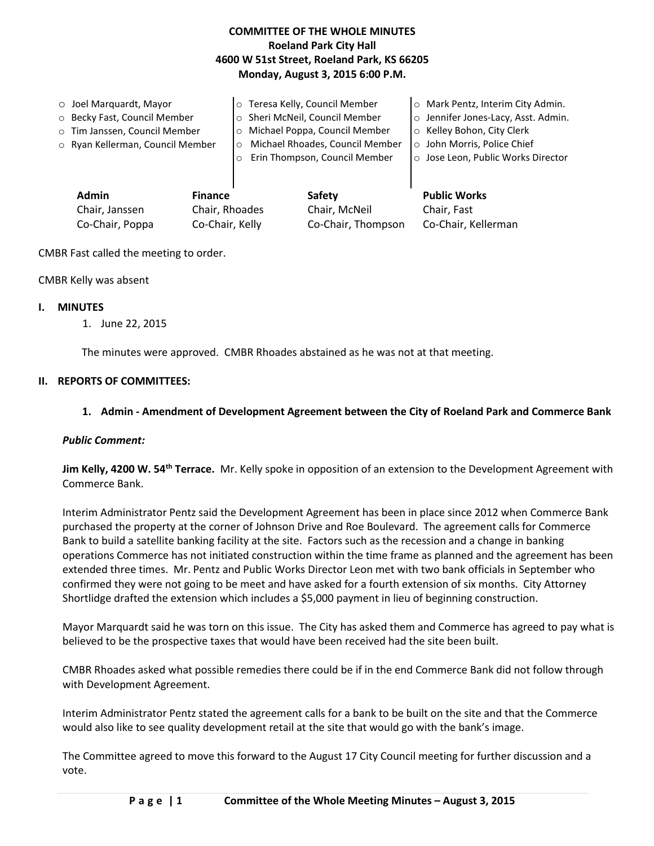## **COMMITTEE OF THE WHOLE MINUTES Roeland Park City Hall 4600 W 51st Street, Roeland Park, KS 66205 Monday, August 3, 2015 6:00 P.M.**

| $\circ$ Joel Marquardt, Mayor<br>o Becky Fast, Council Member<br>o Tim Janssen, Council Member<br>o Ryan Kellerman, Council Member |  | o Teresa Kelly, Council Member<br>o Sheri McNeil, Council Member<br>Michael Poppa, Council Member<br>Michael Rhoades, Council Member<br>$\circ$<br>Erin Thompson, Council Member |                                | O Mark Pentz, Interim City Admin.<br>o Jennifer Jones-Lacy, Asst. Admin.<br>○ Kelley Bohon, City Clerk<br>o John Morris, Police Chief<br>○ Jose Leon, Public Works Director |
|------------------------------------------------------------------------------------------------------------------------------------|--|----------------------------------------------------------------------------------------------------------------------------------------------------------------------------------|--------------------------------|-----------------------------------------------------------------------------------------------------------------------------------------------------------------------------|
| <b>Admin</b><br><b>Finance</b><br>Chair, Janssen<br>Chair, Rhoades                                                                 |  |                                                                                                                                                                                  | <b>Safety</b><br>Chair, McNeil | <b>Public Works</b><br>Chair, Fast                                                                                                                                          |

Co-Chair, Poppa Co-Chair, Kelly Co-Chair, Thompson Co-Chair, Kellerman

CMBR Fast called the meeting to order.

CMBR Kelly was absent

#### **I. MINUTES**

1. June 22, 2015

The minutes were approved. CMBR Rhoades abstained as he was not at that meeting.

#### **II. REPORTS OF COMMITTEES:**

### **1. Admin - Amendment of Development Agreement between the City of Roeland Park and Commerce Bank**

### *Public Comment:*

**Jim Kelly, 4200 W. 54th Terrace.** Mr. Kelly spoke in opposition of an extension to the Development Agreement with Commerce Bank.

Interim Administrator Pentz said the Development Agreement has been in place since 2012 when Commerce Bank purchased the property at the corner of Johnson Drive and Roe Boulevard. The agreement calls for Commerce Bank to build a satellite banking facility at the site. Factors such as the recession and a change in banking operations Commerce has not initiated construction within the time frame as planned and the agreement has been extended three times. Mr. Pentz and Public Works Director Leon met with two bank officials in September who confirmed they were not going to be meet and have asked for a fourth extension of six months. City Attorney Shortlidge drafted the extension which includes a \$5,000 payment in lieu of beginning construction.

Mayor Marquardt said he was torn on this issue. The City has asked them and Commerce has agreed to pay what is believed to be the prospective taxes that would have been received had the site been built.

CMBR Rhoades asked what possible remedies there could be if in the end Commerce Bank did not follow through with Development Agreement.

Interim Administrator Pentz stated the agreement calls for a bank to be built on the site and that the Commerce would also like to see quality development retail at the site that would go with the bank's image.

The Committee agreed to move this forward to the August 17 City Council meeting for further discussion and a vote.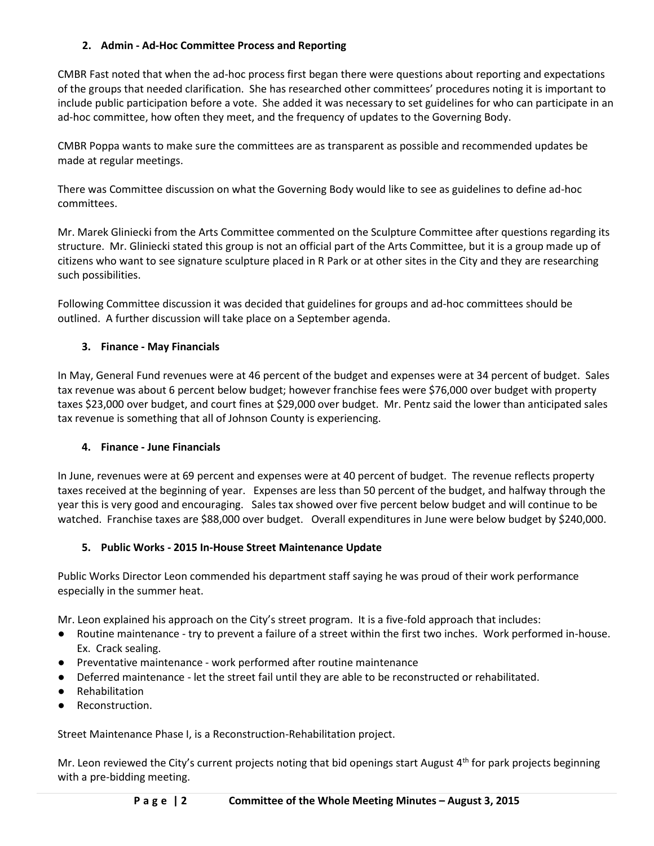## **2. Admin - Ad-Hoc Committee Process and Reporting**

CMBR Fast noted that when the ad-hoc process first began there were questions about reporting and expectations of the groups that needed clarification. She has researched other committees' procedures noting it is important to include public participation before a vote. She added it was necessary to set guidelines for who can participate in an ad-hoc committee, how often they meet, and the frequency of updates to the Governing Body.

CMBR Poppa wants to make sure the committees are as transparent as possible and recommended updates be made at regular meetings.

There was Committee discussion on what the Governing Body would like to see as guidelines to define ad-hoc committees.

Mr. Marek Gliniecki from the Arts Committee commented on the Sculpture Committee after questions regarding its structure. Mr. Gliniecki stated this group is not an official part of the Arts Committee, but it is a group made up of citizens who want to see signature sculpture placed in R Park or at other sites in the City and they are researching such possibilities.

Following Committee discussion it was decided that guidelines for groups and ad-hoc committees should be outlined. A further discussion will take place on a September agenda.

## **3. Finance - May Financials**

In May, General Fund revenues were at 46 percent of the budget and expenses were at 34 percent of budget. Sales tax revenue was about 6 percent below budget; however franchise fees were \$76,000 over budget with property taxes \$23,000 over budget, and court fines at \$29,000 over budget. Mr. Pentz said the lower than anticipated sales tax revenue is something that all of Johnson County is experiencing.

# **4. Finance - June Financials**

In June, revenues were at 69 percent and expenses were at 40 percent of budget. The revenue reflects property taxes received at the beginning of year. Expenses are less than 50 percent of the budget, and halfway through the year this is very good and encouraging. Sales tax showed over five percent below budget and will continue to be watched. Franchise taxes are \$88,000 over budget. Overall expenditures in June were below budget by \$240,000.

## **5. Public Works - 2015 In-House Street Maintenance Update**

Public Works Director Leon commended his department staff saying he was proud of their work performance especially in the summer heat.

Mr. Leon explained his approach on the City's street program. It is a five-fold approach that includes:

- Routine maintenance try to prevent a failure of a street within the first two inches. Work performed in-house. Ex. Crack sealing.
- Preventative maintenance work performed after routine maintenance
- Deferred maintenance let the street fail until they are able to be reconstructed or rehabilitated.
- **Rehabilitation**
- Reconstruction.

Street Maintenance Phase I, is a Reconstruction-Rehabilitation project.

Mr. Leon reviewed the City's current projects noting that bid openings start August  $4<sup>th</sup>$  for park projects beginning with a pre-bidding meeting.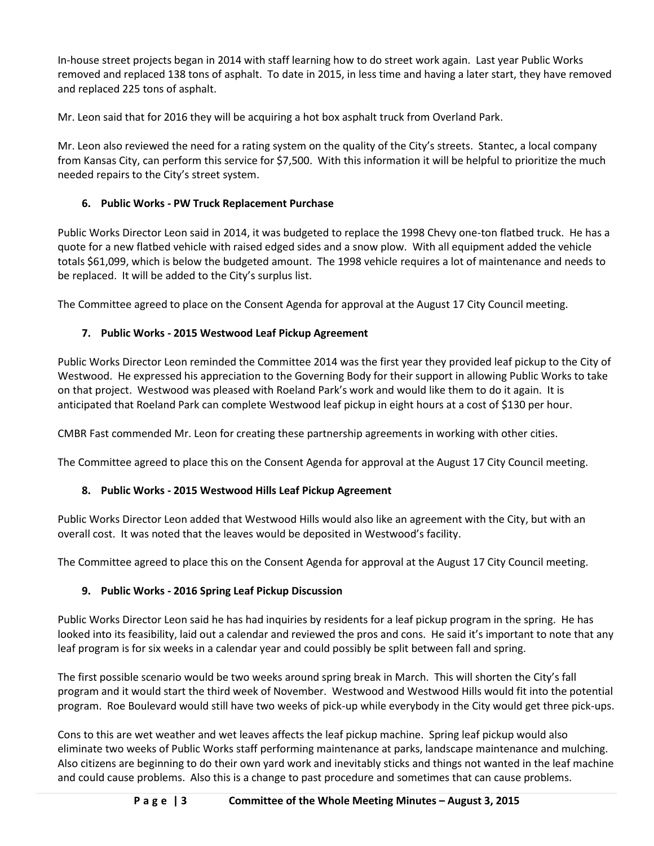In-house street projects began in 2014 with staff learning how to do street work again. Last year Public Works removed and replaced 138 tons of asphalt. To date in 2015, in less time and having a later start, they have removed and replaced 225 tons of asphalt.

Mr. Leon said that for 2016 they will be acquiring a hot box asphalt truck from Overland Park.

Mr. Leon also reviewed the need for a rating system on the quality of the City's streets. Stantec, a local company from Kansas City, can perform this service for \$7,500. With this information it will be helpful to prioritize the much needed repairs to the City's street system.

# **6. Public Works - PW Truck Replacement Purchase**

Public Works Director Leon said in 2014, it was budgeted to replace the 1998 Chevy one-ton flatbed truck. He has a quote for a new flatbed vehicle with raised edged sides and a snow plow. With all equipment added the vehicle totals \$61,099, which is below the budgeted amount. The 1998 vehicle requires a lot of maintenance and needs to be replaced. It will be added to the City's surplus list.

The Committee agreed to place on the Consent Agenda for approval at the August 17 City Council meeting.

# **7. Public Works - 2015 Westwood Leaf Pickup Agreement**

Public Works Director Leon reminded the Committee 2014 was the first year they provided leaf pickup to the City of Westwood. He expressed his appreciation to the Governing Body for their support in allowing Public Works to take on that project. Westwood was pleased with Roeland Park's work and would like them to do it again. It is anticipated that Roeland Park can complete Westwood leaf pickup in eight hours at a cost of \$130 per hour.

CMBR Fast commended Mr. Leon for creating these partnership agreements in working with other cities.

The Committee agreed to place this on the Consent Agenda for approval at the August 17 City Council meeting.

# **8. Public Works - 2015 Westwood Hills Leaf Pickup Agreement**

Public Works Director Leon added that Westwood Hills would also like an agreement with the City, but with an overall cost. It was noted that the leaves would be deposited in Westwood's facility.

The Committee agreed to place this on the Consent Agenda for approval at the August 17 City Council meeting.

# **9. Public Works - 2016 Spring Leaf Pickup Discussion**

Public Works Director Leon said he has had inquiries by residents for a leaf pickup program in the spring. He has looked into its feasibility, laid out a calendar and reviewed the pros and cons. He said it's important to note that any leaf program is for six weeks in a calendar year and could possibly be split between fall and spring.

The first possible scenario would be two weeks around spring break in March. This will shorten the City's fall program and it would start the third week of November. Westwood and Westwood Hills would fit into the potential program. Roe Boulevard would still have two weeks of pick-up while everybody in the City would get three pick-ups.

Cons to this are wet weather and wet leaves affects the leaf pickup machine. Spring leaf pickup would also eliminate two weeks of Public Works staff performing maintenance at parks, landscape maintenance and mulching. Also citizens are beginning to do their own yard work and inevitably sticks and things not wanted in the leaf machine and could cause problems. Also this is a change to past procedure and sometimes that can cause problems.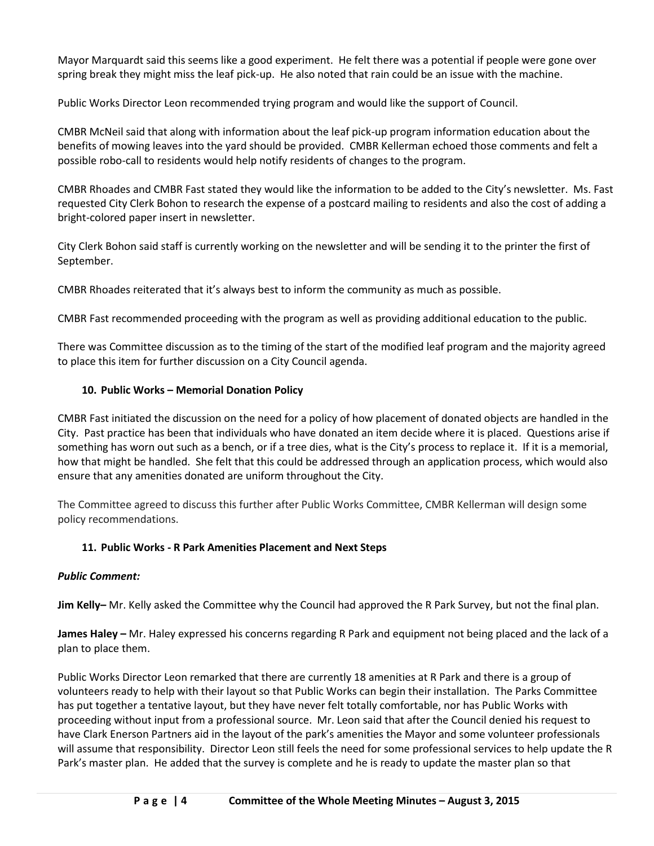Mayor Marquardt said this seems like a good experiment. He felt there was a potential if people were gone over spring break they might miss the leaf pick-up. He also noted that rain could be an issue with the machine.

Public Works Director Leon recommended trying program and would like the support of Council.

CMBR McNeil said that along with information about the leaf pick-up program information education about the benefits of mowing leaves into the yard should be provided. CMBR Kellerman echoed those comments and felt a possible robo-call to residents would help notify residents of changes to the program.

CMBR Rhoades and CMBR Fast stated they would like the information to be added to the City's newsletter. Ms. Fast requested City Clerk Bohon to research the expense of a postcard mailing to residents and also the cost of adding a bright-colored paper insert in newsletter.

City Clerk Bohon said staff is currently working on the newsletter and will be sending it to the printer the first of September.

CMBR Rhoades reiterated that it's always best to inform the community as much as possible.

CMBR Fast recommended proceeding with the program as well as providing additional education to the public.

There was Committee discussion as to the timing of the start of the modified leaf program and the majority agreed to place this item for further discussion on a City Council agenda.

## **10. Public Works – Memorial Donation Policy**

CMBR Fast initiated the discussion on the need for a policy of how placement of donated objects are handled in the City. Past practice has been that individuals who have donated an item decide where it is placed. Questions arise if something has worn out such as a bench, or if a tree dies, what is the City's process to replace it. If it is a memorial, how that might be handled. She felt that this could be addressed through an application process, which would also ensure that any amenities donated are uniform throughout the City.

The Committee agreed to discuss this further after Public Works Committee, CMBR Kellerman will design some policy recommendations.

## **11. Public Works - R Park Amenities Placement and Next Steps**

## *Public Comment:*

**Jim Kelly–** Mr. Kelly asked the Committee why the Council had approved the R Park Survey, but not the final plan.

**James Haley –** Mr. Haley expressed his concerns regarding R Park and equipment not being placed and the lack of a plan to place them.

Public Works Director Leon remarked that there are currently 18 amenities at R Park and there is a group of volunteers ready to help with their layout so that Public Works can begin their installation. The Parks Committee has put together a tentative layout, but they have never felt totally comfortable, nor has Public Works with proceeding without input from a professional source. Mr. Leon said that after the Council denied his request to have Clark Enerson Partners aid in the layout of the park's amenities the Mayor and some volunteer professionals will assume that responsibility. Director Leon still feels the need for some professional services to help update the R Park's master plan. He added that the survey is complete and he is ready to update the master plan so that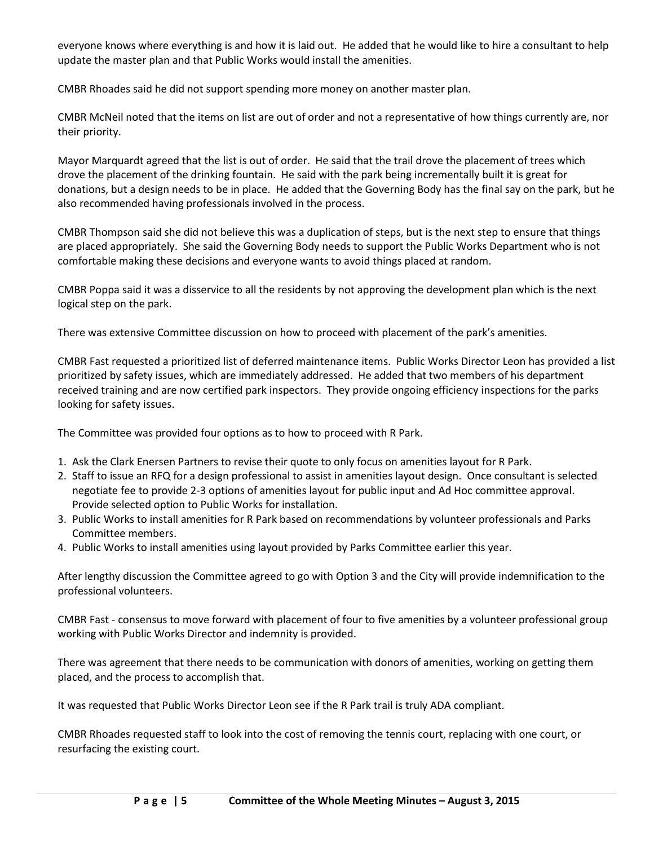everyone knows where everything is and how it is laid out. He added that he would like to hire a consultant to help update the master plan and that Public Works would install the amenities.

CMBR Rhoades said he did not support spending more money on another master plan.

CMBR McNeil noted that the items on list are out of order and not a representative of how things currently are, nor their priority.

Mayor Marquardt agreed that the list is out of order. He said that the trail drove the placement of trees which drove the placement of the drinking fountain. He said with the park being incrementally built it is great for donations, but a design needs to be in place. He added that the Governing Body has the final say on the park, but he also recommended having professionals involved in the process.

CMBR Thompson said she did not believe this was a duplication of steps, but is the next step to ensure that things are placed appropriately. She said the Governing Body needs to support the Public Works Department who is not comfortable making these decisions and everyone wants to avoid things placed at random.

CMBR Poppa said it was a disservice to all the residents by not approving the development plan which is the next logical step on the park.

There was extensive Committee discussion on how to proceed with placement of the park's amenities.

CMBR Fast requested a prioritized list of deferred maintenance items. Public Works Director Leon has provided a list prioritized by safety issues, which are immediately addressed. He added that two members of his department received training and are now certified park inspectors. They provide ongoing efficiency inspections for the parks looking for safety issues.

The Committee was provided four options as to how to proceed with R Park.

- 1. Ask the Clark Enersen Partners to revise their quote to only focus on amenities layout for R Park.
- 2. Staff to issue an RFQ for a design professional to assist in amenities layout design. Once consultant is selected negotiate fee to provide 2-3 options of amenities layout for public input and Ad Hoc committee approval. Provide selected option to Public Works for installation.
- 3. Public Works to install amenities for R Park based on recommendations by volunteer professionals and Parks Committee members.
- 4. Public Works to install amenities using layout provided by Parks Committee earlier this year.

After lengthy discussion the Committee agreed to go with Option 3 and the City will provide indemnification to the professional volunteers.

CMBR Fast - consensus to move forward with placement of four to five amenities by a volunteer professional group working with Public Works Director and indemnity is provided.

There was agreement that there needs to be communication with donors of amenities, working on getting them placed, and the process to accomplish that.

It was requested that Public Works Director Leon see if the R Park trail is truly ADA compliant.

CMBR Rhoades requested staff to look into the cost of removing the tennis court, replacing with one court, or resurfacing the existing court.